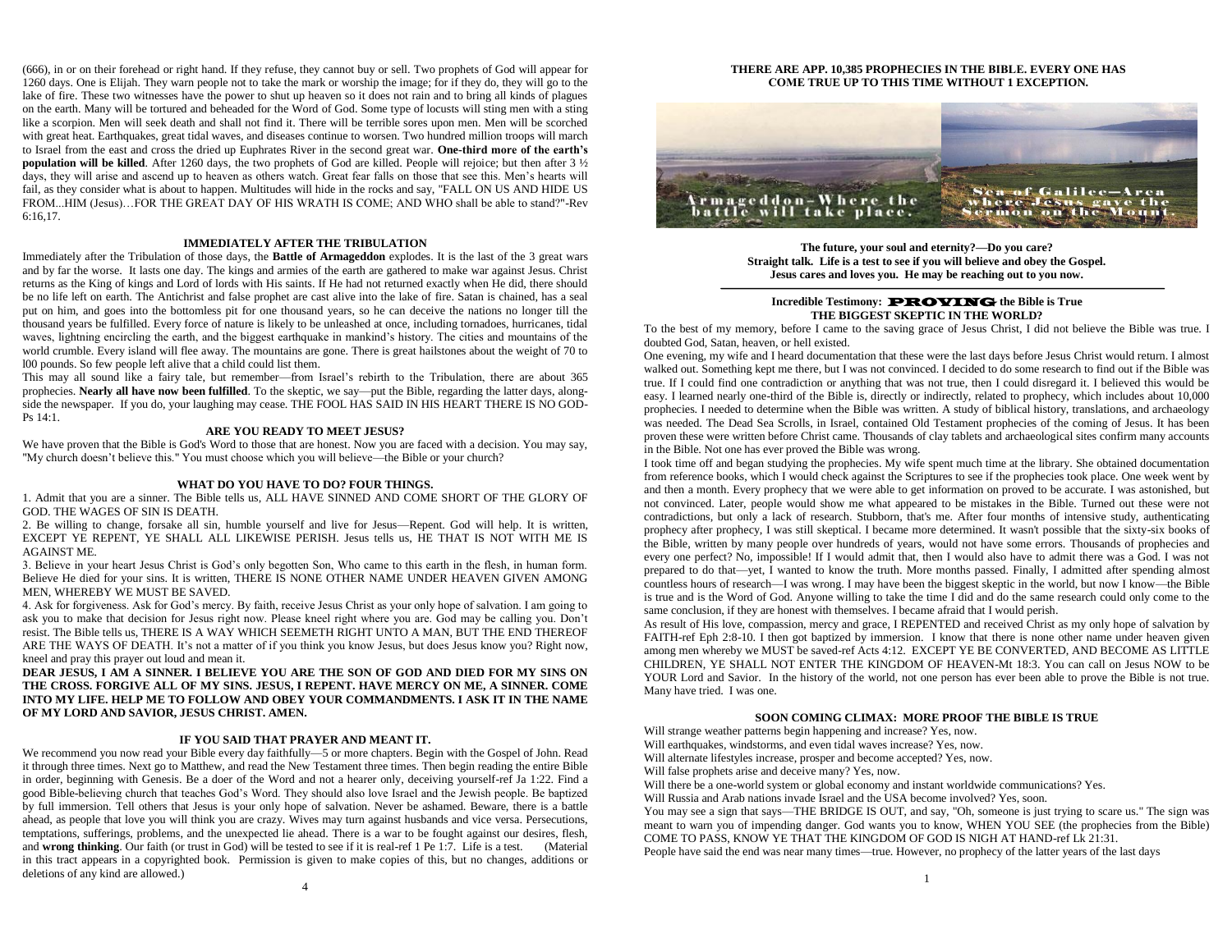(666), in or on their forehead or right hand. If they refuse, they cannot buy or sell. Two prophets of God will appear for 1260 days. One is Elijah. They warn people not to take the mark or worship the image; for if they do, they will go to the lake of fire. These two witnesses have the power to shut up heaven so it does not rain and to bring all kinds of plagues on the earth. Many will be tortured and beheaded for the Word of God. Some type of locusts will sting men with a sting like a scorpion. Men will seek death and shall not find it. There will be terrible sores upon men. Men will be scorched with great heat. Earthquakes, great tidal waves, and diseases continue to worsen. Two hundred million troops will march to Israel from the east and cross the dried up Euphrates River in the second great war. **One-third more of the earth's population will be killed**. After 1260 days, the two prophets of God are killed. People will rejoice; but then after 3 ½ days, they will arise and ascend up to heaven as others watch. Great fear falls on those that see this. Men's hearts will fail, as they consider what is about to happen. Multitudes will hide in the rocks and say, "FALL ON US AND HIDE US FROM...HIM (Jesus)…FOR THE GREAT DAY OF HIS WRATH IS COME; AND WHO shall be able to stand?"-Rev 6:16,17.

# **IMMEDIATELY AFTER THE TRIBULATION**

Immediately after the Tribulation of those days, the **Battle of Armageddon** explodes. It is the last of the 3 great wars and by far the worse. It lasts one day. The kings and armies of the earth are gathered to make war against Jesus. Christ returns as the King of kings and Lord of lords with His saints. If He had not returned exactly when He did, there should be no life left on earth. The Antichrist and false prophet are cast alive into the lake of fire. Satan is chained, has a seal put on him, and goes into the bottomless pit for one thousand years, so he can deceive the nations no longer till the thousand years be fulfilled. Every force of nature is likely to be unleashed at once, including tornadoes, hurricanes, tidal waves, lightning encircling the earth, and the biggest earthquake in mankind's history. The cities and mountains of the world crumble. Every island will flee away. The mountains are gone. There is great hailstones about the weight of 70 to l00 pounds. So few people left alive that a child could list them.

This may all sound like a fairy tale, but remember—from Israel's rebirth to the Tribulation, there are about 365 prophecies. **Nearly all have now been fulfilled**. To the skeptic, we say—put the Bible, regarding the latter days, alongside the newspaper. If you do, your laughing may cease. THE FOOL HAS SAID IN HIS HEART THERE IS NO GOD-Ps 14:1.

### **ARE YOU READY TO MEET JESUS?**

We have proven that the Bible is God's Word to those that are honest. Now you are faced with a decision. You may say, "My church doesn't believe this." You must choose which you will believe—the Bible or your church?

### **WHAT DO YOU HAVE TO DO? FOUR THINGS.**

1. Admit that you are a sinner. The Bible tells us, ALL HAVE SINNED AND COME SHORT OF THE GLORY OF GOD. THE WAGES OF SIN IS DEATH.

2. Be willing to change, forsake all sin, humble yourself and live for Jesus—Repent. God will help. It is written, EXCEPT YE REPENT, YE SHALL ALL LIKEWISE PERISH. Jesus tells us, HE THAT IS NOT WITH ME IS AGAINST ME.

3. Believe in your heart Jesus Christ is God's only begotten Son, Who came to this earth in the flesh, in human form. Believe He died for your sins. It is written, THERE IS NONE OTHER NAME UNDER HEAVEN GIVEN AMONG MEN, WHEREBY WE MUST BE SAVED.

4. Ask for forgiveness. Ask for God's mercy. By faith, receive Jesus Christ as your only hope of salvation. I am going to ask you to make that decision for Jesus right now. Please kneel right where you are. God may be calling you. Don't resist. The Bible tells us, THERE IS A WAY WHICH SEEMETH RIGHT UNTO A MAN, BUT THE END THEREOF ARE THE WAYS OF DEATH. It's not a matter of if you think you know Jesus, but does Jesus know you? Right now, kneel and pray this prayer out loud and mean it.

**DEAR JESUS, I AM A SINNER. I BELIEVE YOU ARE THE SON OF GOD AND DIED FOR MY SINS ON THE CROSS. FORGIVE ALL OF MY SINS. JESUS, I REPENT. HAVE MERCY ON ME, A SINNER. COME INTO MY LIFE. HELP ME TO FOLLOW AND OBEY YOUR COMMANDMENTS. I ASK IT IN THE NAME OF MY LORD AND SAVIOR, JESUS CHRIST. AMEN.**

#### **IF YOU SAID THAT PRAYER AND MEANT IT.**

We recommend you now read your Bible every day faithfully—5 or more chapters. Begin with the Gospel of John. Read it through three times. Next go to Matthew, and read the New Testament three times. Then begin reading the entire Bible in order, beginning with Genesis. Be a doer of the Word and not a hearer only, deceiving yourself-ref Ja 1:22. Find a good Bible-believing church that teaches God's Word. They should also love Israel and the Jewish people. Be baptized by full immersion. Tell others that Jesus is your only hope of salvation. Never be ashamed. Beware, there is a battle ahead, as people that love you will think you are crazy. Wives may turn against husbands and vice versa. Persecutions, temptations, sufferings, problems, and the unexpected lie ahead. There is a war to be fought against our desires, flesh, and **wrong thinking**. Our faith (or trust in God) will be tested to see if it is real-ref 1 Pe 1:7. Life is a test. (Material in this tract appears in a copyrighted book. Permission is given to make copies of this, but no changes, additions or deletions of any kind are allowed.)

4

#### **THERE ARE APP. 10,385 PROPHECIES IN THE BIBLE. EVERY ONE HAS COME TRUE UP TO THIS TIME WITHOUT 1 EXCEPTION.**



**The future, your soul and eternity?—Do you care? Straight talk. Life is a test to see if you will believe and obey the Gospel. Jesus cares and loves you. He may be reaching out to you now.**

## **Incredible Testimony:** PROVING **the Bible is True THE BIGGEST SKEPTIC IN THE WORLD?**

To the best of my memory, before I came to the saving grace of Jesus Christ, I did not believe the Bible was true. I doubted God, Satan, heaven, or hell existed.

One evening, my wife and I heard documentation that these were the last days before Jesus Christ would return. I almost walked out. Something kept me there, but I was not convinced. I decided to do some research to find out if the Bible was true. If I could find one contradiction or anything that was not true, then I could disregard it. I believed this would be easy. I learned nearly one-third of the Bible is, directly or indirectly, related to prophecy, which includes about 10,000 prophecies. I needed to determine when the Bible was written. A study of biblical history, translations, and archaeology was needed. The Dead Sea Scrolls, in Israel, contained Old Testament prophecies of the coming of Jesus. It has been proven these were written before Christ came. Thousands of clay tablets and archaeological sites confirm many accounts in the Bible. Not one has ever proved the Bible was wrong.

I took time off and began studying the prophecies. My wife spent much time at the library. She obtained documentation from reference books, which I would check against the Scriptures to see if the prophecies took place. One week went by and then a month. Every prophecy that we were able to get information on proved to be accurate. I was astonished, but not convinced. Later, people would show me what appeared to be mistakes in the Bible. Turned out these were not contradictions, but only a lack of research. Stubborn, that's me. After four months of intensive study, authenticating prophecy after prophecy, I was still skeptical. I became more determined. It wasn't possible that the sixty-six books of the Bible, written by many people over hundreds of years, would not have some errors. Thousands of prophecies and every one perfect? No, impossible! If I would admit that, then I would also have to admit there was a God. I was not prepared to do that—yet, I wanted to know the truth. More months passed. Finally, I admitted after spending almost countless hours of research—I was wrong. I may have been the biggest skeptic in the world, but now I know—the Bible is true and is the Word of God. Anyone willing to take the time I did and do the same research could only come to the same conclusion, if they are honest with themselves. I became afraid that I would perish.

As result of His love, compassion, mercy and grace, I REPENTED and received Christ as my only hope of salvation by FAITH-ref Eph 2:8-10. I then got baptized by immersion. I know that there is none other name under heaven given among men whereby we MUST be saved-ref Acts 4:12. EXCEPT YE BE CONVERTED, AND BECOME AS LITTLE CHILDREN, YE SHALL NOT ENTER THE KINGDOM OF HEAVEN-Mt 18:3. You can call on Jesus NOW to be YOUR Lord and Savior. In the history of the world, not one person has ever been able to prove the Bible is not true. Many have tried. I was one.

#### **SOON COMING CLIMAX: MORE PROOF THE BIBLE IS TRUE**

Will strange weather patterns begin happening and increase? Yes, now.

Will earthquakes, windstorms, and even tidal waves increase? Yes, now.

Will alternate lifestyles increase, prosper and become accepted? Yes, now.

Will false prophets arise and deceive many? Yes, now.

Will there be a one-world system or global economy and instant worldwide communications? Yes.

Will Russia and Arab nations invade Israel and the USA become involved? Yes, soon.

You may see a sign that says—THE BRIDGE IS OUT, and say, "Oh, someone is just trying to scare us." The sign was meant to warn you of impending danger. God wants you to know, WHEN YOU SEE (the prophecies from the Bible) COME TO PASS, KNOW YE THAT THE KINGDOM OF GOD IS NIGH AT HAND-ref Lk 21:31.

People have said the end was near many times—true. However, no prophecy of the latter years of the last days